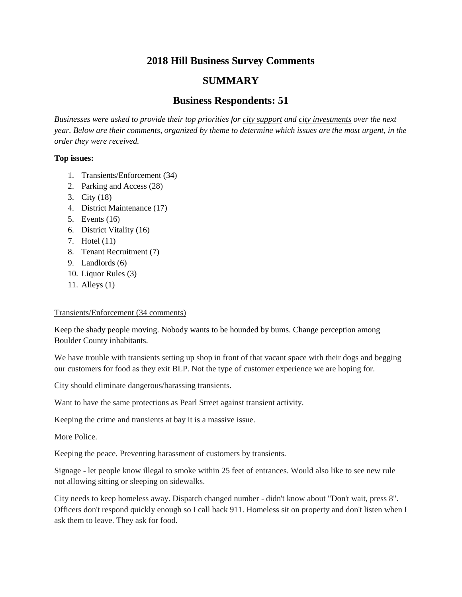## **2018 Hill Business Survey Comments**

## **SUMMARY**

## **Business Respondents: 51**

*Businesses were asked to provide their top priorities for city support and city investments over the next year. Below are their comments, organized by theme to determine which issues are the most urgent, in the order they were received.*

#### **Top issues:**

- 1. Transients/Enforcement (34)
- 2. Parking and Access (28)
- 3. City (18)
- 4. District Maintenance (17)
- 5. Events (16)
- 6. District Vitality (16)
- 7. Hotel (11)
- 8. Tenant Recruitment (7)
- 9. Landlords (6)
- 10. Liquor Rules (3)
- 11. Alleys (1)

### Transients/Enforcement (34 comments)

Keep the shady people moving. Nobody wants to be hounded by bums. Change perception among Boulder County inhabitants.

We have trouble with transients setting up shop in front of that vacant space with their dogs and begging our customers for food as they exit BLP. Not the type of customer experience we are hoping for.

City should eliminate dangerous/harassing transients.

Want to have the same protections as Pearl Street against transient activity.

Keeping the crime and transients at bay it is a massive issue.

More Police.

Keeping the peace. Preventing harassment of customers by transients.

Signage - let people know illegal to smoke within 25 feet of entrances. Would also like to see new rule not allowing sitting or sleeping on sidewalks.

City needs to keep homeless away. Dispatch changed number - didn't know about "Don't wait, press 8". Officers don't respond quickly enough so I call back 911. Homeless sit on property and don't listen when I ask them to leave. They ask for food.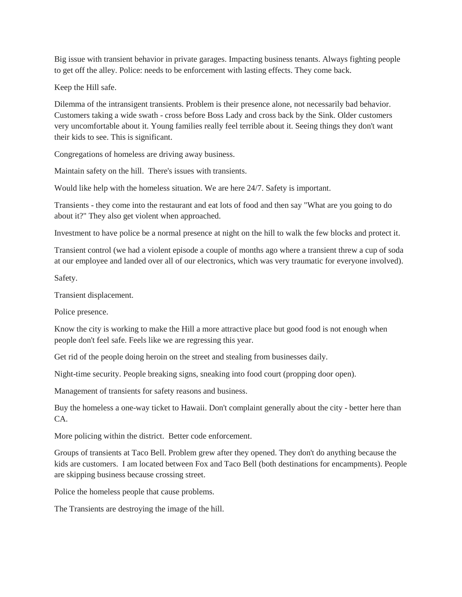Big issue with transient behavior in private garages. Impacting business tenants. Always fighting people to get off the alley. Police: needs to be enforcement with lasting effects. They come back.

Keep the Hill safe.

Dilemma of the intransigent transients. Problem is their presence alone, not necessarily bad behavior. Customers taking a wide swath - cross before Boss Lady and cross back by the Sink. Older customers very uncomfortable about it. Young families really feel terrible about it. Seeing things they don't want their kids to see. This is significant.

Congregations of homeless are driving away business.

Maintain safety on the hill. There's issues with transients.

Would like help with the homeless situation. We are here 24/7. Safety is important.

Transients - they come into the restaurant and eat lots of food and then say "What are you going to do about it?" They also get violent when approached.

Investment to have police be a normal presence at night on the hill to walk the few blocks and protect it.

Transient control (we had a violent episode a couple of months ago where a transient threw a cup of soda at our employee and landed over all of our electronics, which was very traumatic for everyone involved).

Safety.

Transient displacement.

Police presence.

Know the city is working to make the Hill a more attractive place but good food is not enough when people don't feel safe. Feels like we are regressing this year.

Get rid of the people doing heroin on the street and stealing from businesses daily.

Night-time security. People breaking signs, sneaking into food court (propping door open).

Management of transients for safety reasons and business.

Buy the homeless a one-way ticket to Hawaii. Don't complaint generally about the city - better here than CA.

More policing within the district. Better code enforcement.

Groups of transients at Taco Bell. Problem grew after they opened. They don't do anything because the kids are customers. I am located between Fox and Taco Bell (both destinations for encampments). People are skipping business because crossing street.

Police the homeless people that cause problems.

The Transients are destroying the image of the hill.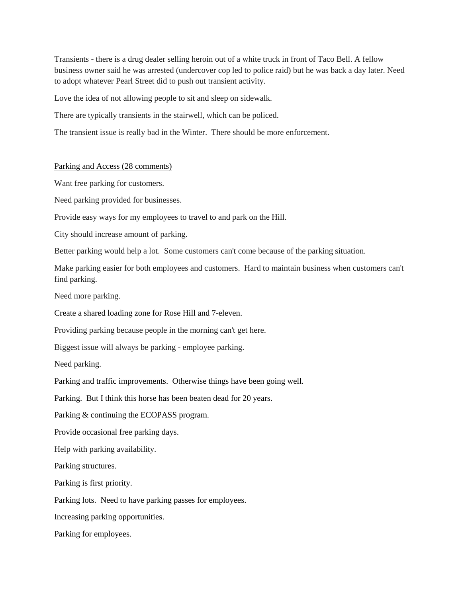Transients - there is a drug dealer selling heroin out of a white truck in front of Taco Bell. A fellow business owner said he was arrested (undercover cop led to police raid) but he was back a day later. Need to adopt whatever Pearl Street did to push out transient activity.

Love the idea of not allowing people to sit and sleep on sidewalk.

There are typically transients in the stairwell, which can be policed.

The transient issue is really bad in the Winter. There should be more enforcement.

#### Parking and Access (28 comments)

Want free parking for customers.

Need parking provided for businesses.

Provide easy ways for my employees to travel to and park on the Hill.

City should increase amount of parking.

Better parking would help a lot. Some customers can't come because of the parking situation.

Make parking easier for both employees and customers. Hard to maintain business when customers can't find parking.

Need more parking.

Create a shared loading zone for Rose Hill and 7-eleven.

Providing parking because people in the morning can't get here.

Biggest issue will always be parking - employee parking.

Need parking.

Parking and traffic improvements. Otherwise things have been going well.

Parking. But I think this horse has been beaten dead for 20 years.

Parking & continuing the ECOPASS program.

Provide occasional free parking days.

Help with parking availability.

Parking structures.

Parking is first priority.

Parking lots. Need to have parking passes for employees.

Increasing parking opportunities.

Parking for employees.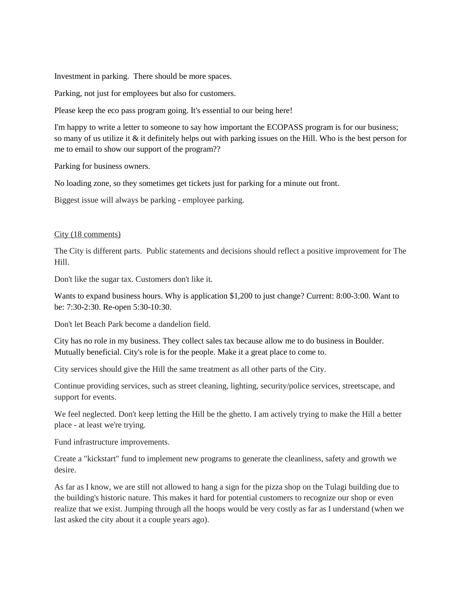Investment in parking. There should be more spaces.

Parking, not just for employees but also for customers.

Please keep the eco pass program going. It's essential to our being here!

I'm happy to write a letter to someone to say how important the ECOPASS program is for our business; so many of us utilize it & it definitely helps out with parking issues on the Hill. Who is the best person for me to email to show our support of the program??

Parking for business owners.

No loading zone, so they sometimes get tickets just for parking for a minute out front.

Biggest issue will always be parking - employee parking.

#### City (18 comments)

The City is different parts. Public statements and decisions should reflect a positive improvement for The Hill.

Don't like the sugar tax. Customers don't like it.

Wants to expand business hours. Why is application \$1,200 to just change? Current: 8:00-3:00. Want to be: 7:30-2:30. Re-open 5:30-10:30.

Don't let Beach Park become a dandelion field.

City has no role in my business. They collect sales tax because allow me to do business in Boulder. Mutually beneficial. City's role is for the people. Make it a great place to come to.

City services should give the Hill the same treatment as all other parts of the City.

Continue providing services, such as street cleaning, lighting, security/police services, streetscape, and support for events.

We feel neglected. Don't keep letting the Hill be the ghetto. I am actively trying to make the Hill a better place - at least we're trying.

Fund infrastructure improvements.

Create a "kickstart" fund to implement new programs to generate the cleanliness, safety and growth we desire.

As far as I know, we are still not allowed to hang a sign for the pizza shop on the Tulagi building due to the building's historic nature. This makes it hard for potential customers to recognize our shop or even realize that we exist. Jumping through all the hoops would be very costly as far as I understand (when we last asked the city about it a couple years ago).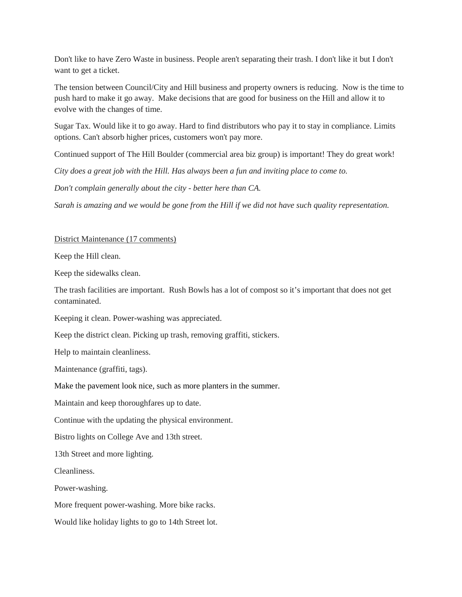Don't like to have Zero Waste in business. People aren't separating their trash. I don't like it but I don't want to get a ticket.

The tension between Council/City and Hill business and property owners is reducing. Now is the time to push hard to make it go away. Make decisions that are good for business on the Hill and allow it to evolve with the changes of time.

Sugar Tax. Would like it to go away. Hard to find distributors who pay it to stay in compliance. Limits options. Can't absorb higher prices, customers won't pay more.

Continued support of The Hill Boulder (commercial area biz group) is important! They do great work!

*City does a great job with the Hill. Has always been a fun and inviting place to come to.*

*Don't complain generally about the city - better here than CA.*

*Sarah is amazing and we would be gone from the Hill if we did not have such quality representation.*

### District Maintenance (17 comments)

Keep the Hill clean.

Keep the sidewalks clean.

The trash facilities are important. Rush Bowls has a lot of compost so it's important that does not get contaminated.

Keeping it clean. Power-washing was appreciated.

Keep the district clean. Picking up trash, removing graffiti, stickers.

Help to maintain cleanliness.

Maintenance (graffiti, tags).

Make the pavement look nice, such as more planters in the summer.

Maintain and keep thoroughfares up to date.

Continue with the updating the physical environment.

Bistro lights on College Ave and 13th street.

13th Street and more lighting.

Cleanliness.

Power-washing.

More frequent power-washing. More bike racks.

Would like holiday lights to go to 14th Street lot.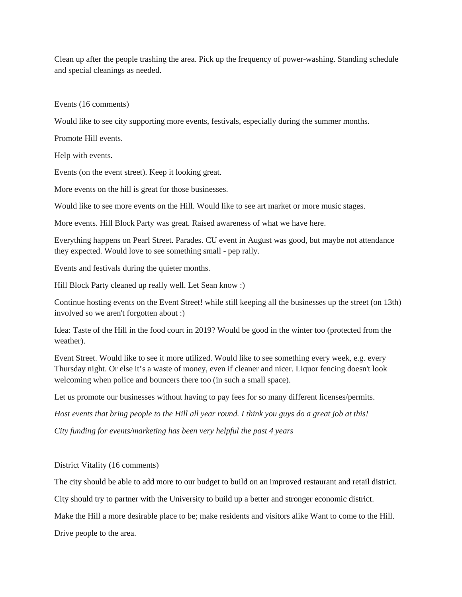Clean up after the people trashing the area. Pick up the frequency of power-washing. Standing schedule and special cleanings as needed.

#### Events (16 comments)

Would like to see city supporting more events, festivals, especially during the summer months.

Promote Hill events.

Help with events.

Events (on the event street). Keep it looking great.

More events on the hill is great for those businesses.

Would like to see more events on the Hill. Would like to see art market or more music stages.

More events. Hill Block Party was great. Raised awareness of what we have here.

Everything happens on Pearl Street. Parades. CU event in August was good, but maybe not attendance they expected. Would love to see something small - pep rally.

Events and festivals during the quieter months.

Hill Block Party cleaned up really well. Let Sean know :)

Continue hosting events on the Event Street! while still keeping all the businesses up the street (on 13th) involved so we aren't forgotten about :)

Idea: Taste of the Hill in the food court in 2019? Would be good in the winter too (protected from the weather).

Event Street. Would like to see it more utilized. Would like to see something every week, e.g. every Thursday night. Or else it's a waste of money, even if cleaner and nicer. Liquor fencing doesn't look welcoming when police and bouncers there too (in such a small space).

Let us promote our businesses without having to pay fees for so many different licenses/permits.

*Host events that bring people to the Hill all year round. I think you guys do a great job at this!*

*City funding for events/marketing has been very helpful the past 4 years*

### District Vitality (16 comments)

The city should be able to add more to our budget to build on an improved restaurant and retail district.

City should try to partner with the University to build up a better and stronger economic district.

Make the Hill a more desirable place to be; make residents and visitors alike Want to come to the Hill.

Drive people to the area.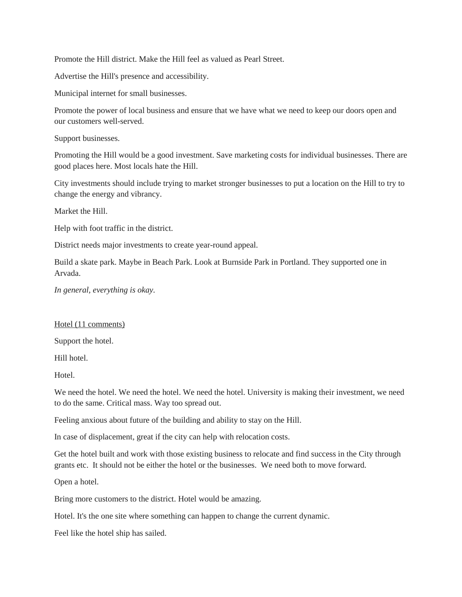Promote the Hill district. Make the Hill feel as valued as Pearl Street.

Advertise the Hill's presence and accessibility.

Municipal internet for small businesses.

Promote the power of local business and ensure that we have what we need to keep our doors open and our customers well-served.

Support businesses.

Promoting the Hill would be a good investment. Save marketing costs for individual businesses. There are good places here. Most locals hate the Hill.

City investments should include trying to market stronger businesses to put a location on the Hill to try to change the energy and vibrancy.

Market the Hill.

Help with foot traffic in the district.

District needs major investments to create year-round appeal.

Build a skate park. Maybe in Beach Park. Look at Burnside Park in Portland. They supported one in Arvada.

*In general, everything is okay.*

#### Hotel (11 comments)

Support the hotel.

Hill hotel.

Hotel.

We need the hotel. We need the hotel. We need the hotel. University is making their investment, we need to do the same. Critical mass. Way too spread out.

Feeling anxious about future of the building and ability to stay on the Hill.

In case of displacement, great if the city can help with relocation costs.

Get the hotel built and work with those existing business to relocate and find success in the City through grants etc. It should not be either the hotel or the businesses. We need both to move forward.

Open a hotel.

Bring more customers to the district. Hotel would be amazing.

Hotel. It's the one site where something can happen to change the current dynamic.

Feel like the hotel ship has sailed.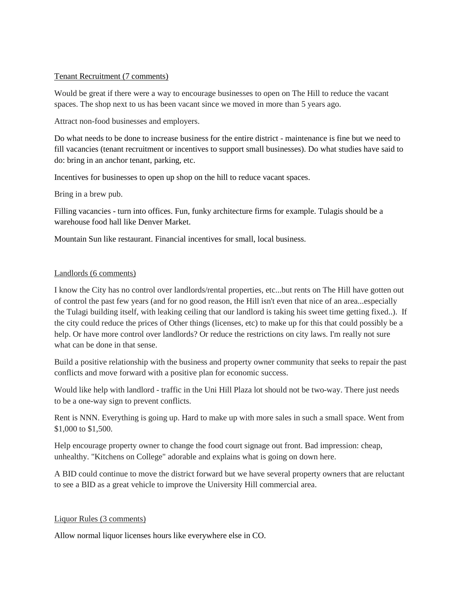### Tenant Recruitment (7 comments)

Would be great if there were a way to encourage businesses to open on The Hill to reduce the vacant spaces. The shop next to us has been vacant since we moved in more than 5 years ago.

Attract non-food businesses and employers.

Do what needs to be done to increase business for the entire district - maintenance is fine but we need to fill vacancies (tenant recruitment or incentives to support small businesses). Do what studies have said to do: bring in an anchor tenant, parking, etc.

Incentives for businesses to open up shop on the hill to reduce vacant spaces.

Bring in a brew pub.

Filling vacancies - turn into offices. Fun, funky architecture firms for example. Tulagis should be a warehouse food hall like Denver Market.

Mountain Sun like restaurant. Financial incentives for small, local business.

### Landlords (6 comments)

I know the City has no control over landlords/rental properties, etc...but rents on The Hill have gotten out of control the past few years (and for no good reason, the Hill isn't even that nice of an area...especially the Tulagi building itself, with leaking ceiling that our landlord is taking his sweet time getting fixed..). If the city could reduce the prices of Other things (licenses, etc) to make up for this that could possibly be a help. Or have more control over landlords? Or reduce the restrictions on city laws. I'm really not sure what can be done in that sense.

Build a positive relationship with the business and property owner community that seeks to repair the past conflicts and move forward with a positive plan for economic success.

Would like help with landlord - traffic in the Uni Hill Plaza lot should not be two-way. There just needs to be a one-way sign to prevent conflicts.

Rent is NNN. Everything is going up. Hard to make up with more sales in such a small space. Went from \$1,000 to \$1,500.

Help encourage property owner to change the food court signage out front. Bad impression: cheap, unhealthy. "Kitchens on College" adorable and explains what is going on down here.

A BID could continue to move the district forward but we have several property owners that are reluctant to see a BID as a great vehicle to improve the University Hill commercial area.

### Liquor Rules (3 comments)

Allow normal liquor licenses hours like everywhere else in CO.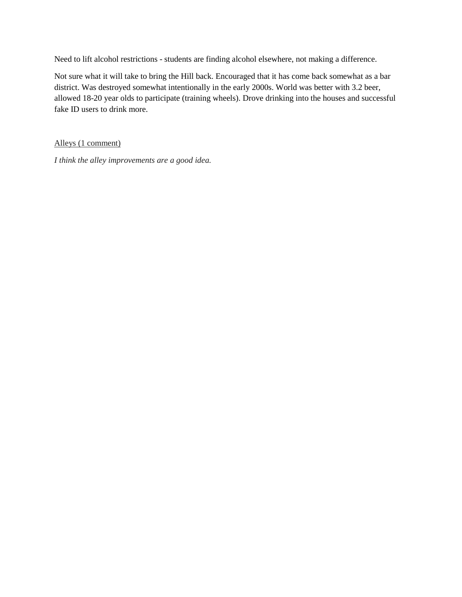Need to lift alcohol restrictions - students are finding alcohol elsewhere, not making a difference.

Not sure what it will take to bring the Hill back. Encouraged that it has come back somewhat as a bar district. Was destroyed somewhat intentionally in the early 2000s. World was better with 3.2 beer, allowed 18-20 year olds to participate (training wheels). Drove drinking into the houses and successful fake ID users to drink more.

Alleys (1 comment)

*I think the alley improvements are a good idea.*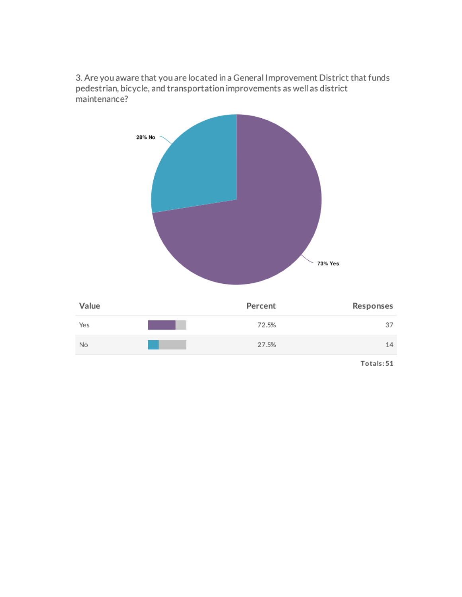3. Are you aware that you are located in a General Improvement District that funds pedestrian, bicycle, and transportation improvements as well as district maintenance?

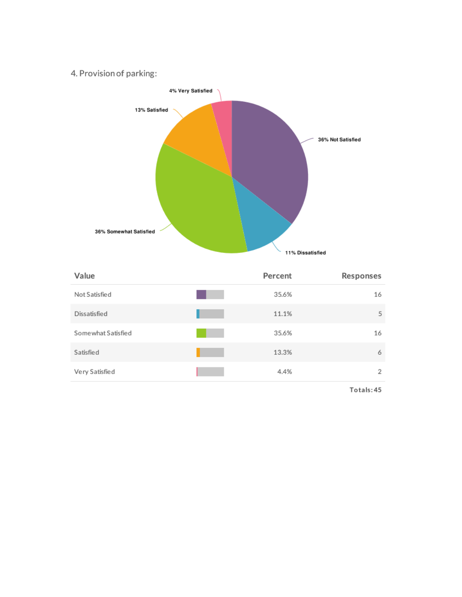# 4. Provision of parking:



| Value              | Percent | Responses      |
|--------------------|---------|----------------|
| Not Satisfied      | 35.6%   | 16             |
| Dissatisfied       | 11.1%   | 5              |
| Somewhat Satisfied | 35.6%   | 16             |
| Satisfied          | 13.3%   | 6              |
| Very Satisfied     | 4.4%    | $\overline{2}$ |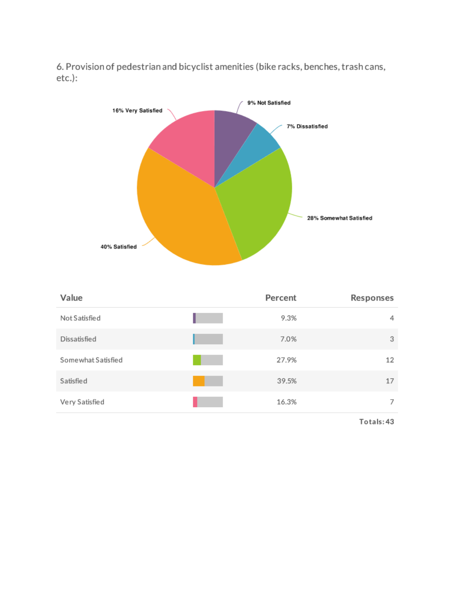6. Provision of pedestrian and bicyclist amenities (bike racks, benches, trash cans, etc.):



| Value              | Percent | Responses |
|--------------------|---------|-----------|
| Not Satisfied      | 9.3%    | 4         |
| Dissatisfied       | 7.0%    | 3         |
| Somewhat Satisfied | 27.9%   | 12        |
| Satisfied          | 39.5%   | 17        |
| Very Satisfied     | 16.3%   | 7         |
|                    |         |           |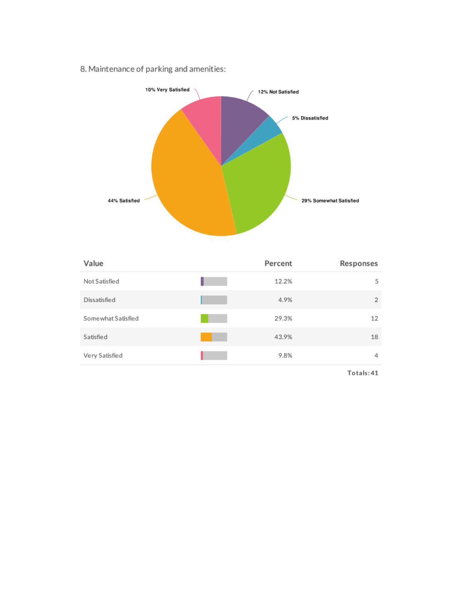# 8. Maintenance of parking and amenities:



| Value              | Percent | Responses      |
|--------------------|---------|----------------|
| Not Satisfied      | 12.2%   | 5              |
| Dissatisfied       | 4.9%    | $\overline{2}$ |
| Somewhat Satisfied | 29.3%   | 12             |
| Satisfied          | 43.9%   | 18             |
| Very Satisfied     | 9.8%    | 4              |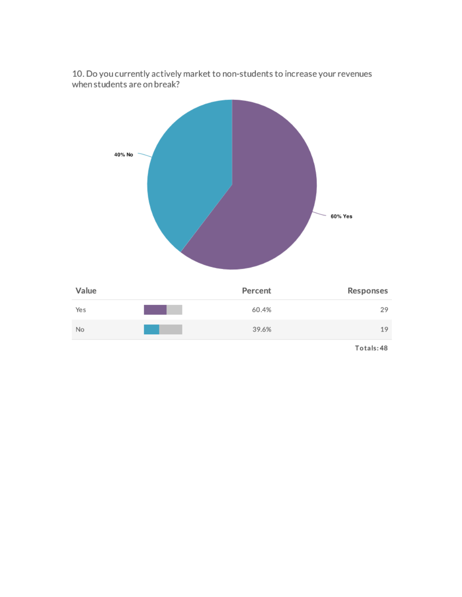10. Do you currently actively market to non-students to increase your revenues when students are on break?

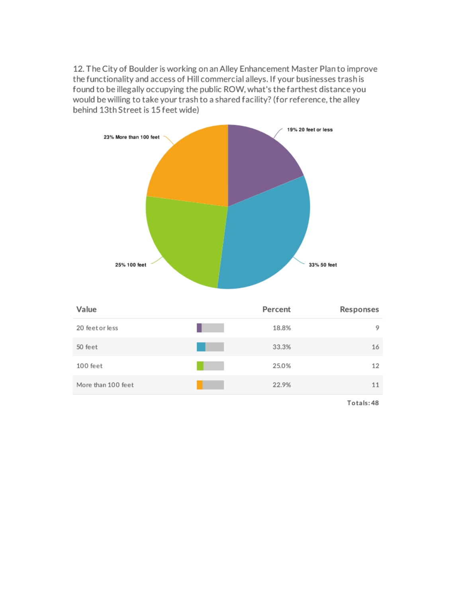12. The City of Boulder is working on an Alley Enhancement Master Plan to improve the functionality and access of Hill commercial alleys. If your businesses trash is found to be illegally occupying the public ROW, what's the farthest distance you would be willing to take your trash to a shared facility? (for reference, the alley behind 13th Street is 15 feet wide)



| Value              | Percent | Responses |
|--------------------|---------|-----------|
| 20 feet or less    | 18.8%   | 9         |
| 50 feet            | 33.3%   | 16        |
| 100 feet           | 25.0%   | 12        |
| More than 100 feet | 22.9%   | 11        |